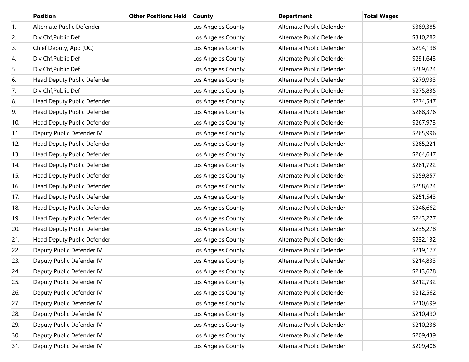|     | <b>Position</b>              | <b>Other Positions Held</b> | <b>County</b>      | <b>Department</b>         | <b>Total Wages</b> |
|-----|------------------------------|-----------------------------|--------------------|---------------------------|--------------------|
| 1.  | Alternate Public Defender    |                             | Los Angeles County | Alternate Public Defender | \$389,385          |
| 2.  | Div Chf, Public Def          |                             | Los Angeles County | Alternate Public Defender | \$310,282          |
| 3.  | Chief Deputy, Apd (UC)       |                             | Los Angeles County | Alternate Public Defender | \$294,198          |
| 4.  | Div Chf, Public Def          |                             | Los Angeles County | Alternate Public Defender | \$291,643          |
| 5.  | Div Chf, Public Def          |                             | Los Angeles County | Alternate Public Defender | \$289,624          |
| 6.  | Head Deputy, Public Defender |                             | Los Angeles County | Alternate Public Defender | \$279,933          |
| 7.  | Div Chf, Public Def          |                             | Los Angeles County | Alternate Public Defender | \$275,835          |
| 8.  | Head Deputy, Public Defender |                             | Los Angeles County | Alternate Public Defender | \$274,547          |
| 9.  | Head Deputy, Public Defender |                             | Los Angeles County | Alternate Public Defender | \$268,376          |
| 10. | Head Deputy, Public Defender |                             | Los Angeles County | Alternate Public Defender | \$267,973          |
| 11. | Deputy Public Defender IV    |                             | Los Angeles County | Alternate Public Defender | \$265,996          |
| 12. | Head Deputy, Public Defender |                             | Los Angeles County | Alternate Public Defender | \$265,221          |
| 13. | Head Deputy, Public Defender |                             | Los Angeles County | Alternate Public Defender | \$264,647          |
| 14. | Head Deputy, Public Defender |                             | Los Angeles County | Alternate Public Defender | \$261,722          |
| 15. | Head Deputy, Public Defender |                             | Los Angeles County | Alternate Public Defender | \$259,857          |
| 16. | Head Deputy, Public Defender |                             | Los Angeles County | Alternate Public Defender | \$258,624          |
| 17. | Head Deputy, Public Defender |                             | Los Angeles County | Alternate Public Defender | \$251,543          |
| 18. | Head Deputy, Public Defender |                             | Los Angeles County | Alternate Public Defender | \$246,662          |
| 19. | Head Deputy, Public Defender |                             | Los Angeles County | Alternate Public Defender | \$243,277          |
| 20. | Head Deputy, Public Defender |                             | Los Angeles County | Alternate Public Defender | \$235,278          |
| 21. | Head Deputy, Public Defender |                             | Los Angeles County | Alternate Public Defender | \$232,132          |
| 22. | Deputy Public Defender IV    |                             | Los Angeles County | Alternate Public Defender | \$219,177          |
| 23. | Deputy Public Defender IV    |                             | Los Angeles County | Alternate Public Defender | \$214,833          |
| 24. | Deputy Public Defender IV    |                             | Los Angeles County | Alternate Public Defender | \$213,678          |
| 25. | Deputy Public Defender IV    |                             | Los Angeles County | Alternate Public Defender | \$212,732          |
| 26. | Deputy Public Defender IV    |                             | Los Angeles County | Alternate Public Defender | \$212,562          |
| 27. | Deputy Public Defender IV    |                             | Los Angeles County | Alternate Public Defender | \$210,699          |
| 28. | Deputy Public Defender IV    |                             | Los Angeles County | Alternate Public Defender | \$210,490          |
| 29. | Deputy Public Defender IV    |                             | Los Angeles County | Alternate Public Defender | \$210,238          |
| 30. | Deputy Public Defender IV    |                             | Los Angeles County | Alternate Public Defender | \$209,439          |
| 31. | Deputy Public Defender IV    |                             | Los Angeles County | Alternate Public Defender | \$209,408          |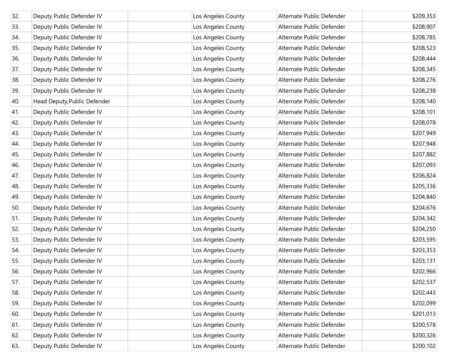| 32. | Deputy Public Defender IV    | Los Angeles County | Alternate Public Defender | \$209,353 |
|-----|------------------------------|--------------------|---------------------------|-----------|
| 33. | Deputy Public Defender IV    | Los Angeles County | Alternate Public Defender | \$208,907 |
| 34. | Deputy Public Defender IV    | Los Angeles County | Alternate Public Defender | \$208,785 |
| 35. | Deputy Public Defender IV    | Los Angeles County | Alternate Public Defender | \$208,523 |
| 36. | Deputy Public Defender IV    | Los Angeles County | Alternate Public Defender | \$208,444 |
| 37. | Deputy Public Defender IV    | Los Angeles County | Alternate Public Defender | \$208,345 |
| 38. | Deputy Public Defender IV    | Los Angeles County | Alternate Public Defender | \$208,276 |
| 39. | Deputy Public Defender IV    | Los Angeles County | Alternate Public Defender | \$208,238 |
| 40. | Head Deputy, Public Defender | Los Angeles County | Alternate Public Defender | \$208,140 |
| 41. | Deputy Public Defender IV    | Los Angeles County | Alternate Public Defender | \$208,101 |
| 42. | Deputy Public Defender IV    | Los Angeles County | Alternate Public Defender | \$208,078 |
| 43. | Deputy Public Defender IV    | Los Angeles County | Alternate Public Defender | \$207,949 |
| 44. | Deputy Public Defender IV    | Los Angeles County | Alternate Public Defender | \$207,948 |
| 45. | Deputy Public Defender IV    | Los Angeles County | Alternate Public Defender | \$207,882 |
| 46. | Deputy Public Defender IV    | Los Angeles County | Alternate Public Defender | \$207,093 |
| 47. | Deputy Public Defender IV    | Los Angeles County | Alternate Public Defender | \$206,824 |
| 48. | Deputy Public Defender IV    | Los Angeles County | Alternate Public Defender | \$205,336 |
| 49. | Deputy Public Defender IV    | Los Angeles County | Alternate Public Defender | \$204,840 |
| 50. | Deputy Public Defender IV    | Los Angeles County | Alternate Public Defender | \$204,676 |
| 51. | Deputy Public Defender IV    | Los Angeles County | Alternate Public Defender | \$204,342 |
| 52. | Deputy Public Defender IV    | Los Angeles County | Alternate Public Defender | \$204,250 |
| 53. | Deputy Public Defender IV    | Los Angeles County | Alternate Public Defender | \$203,595 |
| 54. | Deputy Public Defender IV    | Los Angeles County | Alternate Public Defender | \$203,353 |
| 55. | Deputy Public Defender IV    | Los Angeles County | Alternate Public Defender | \$203,131 |
| 56. | Deputy Public Defender IV    | Los Angeles County | Alternate Public Defender | \$202,966 |
| 57. | Deputy Public Defender IV    | Los Angeles County | Alternate Public Defender | \$202,537 |
| 58. | Deputy Public Defender IV    | Los Angeles County | Alternate Public Defender | \$202,443 |
| 59. | Deputy Public Defender IV    | Los Angeles County | Alternate Public Defender | \$202,099 |
| 60. | Deputy Public Defender IV    | Los Angeles County | Alternate Public Defender | \$201,013 |
| 61. | Deputy Public Defender IV    | Los Angeles County | Alternate Public Defender | \$200,578 |
| 62. | Deputy Public Defender IV    | Los Angeles County | Alternate Public Defender | \$200,326 |
| 63. | Deputy Public Defender IV    | Los Angeles County | Alternate Public Defender | \$200,102 |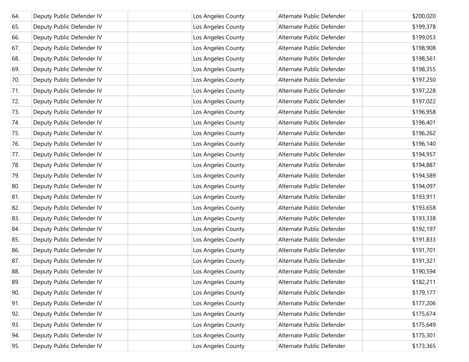| 64. | Deputy Public Defender IV | Los Angeles County | Alternate Public Defender | \$200,020 |
|-----|---------------------------|--------------------|---------------------------|-----------|
| 65. | Deputy Public Defender IV | Los Angeles County | Alternate Public Defender | \$199,378 |
| 66. | Deputy Public Defender IV | Los Angeles County | Alternate Public Defender | \$199,053 |
| 67. | Deputy Public Defender IV | Los Angeles County | Alternate Public Defender | \$198,908 |
| 68. | Deputy Public Defender IV | Los Angeles County | Alternate Public Defender | \$198,561 |
| 69. | Deputy Public Defender IV | Los Angeles County | Alternate Public Defender | \$198,355 |
| 70. | Deputy Public Defender IV | Los Angeles County | Alternate Public Defender | \$197,250 |
| 71. | Deputy Public Defender IV | Los Angeles County | Alternate Public Defender | \$197,228 |
| 72. | Deputy Public Defender IV | Los Angeles County | Alternate Public Defender | \$197,022 |
| 73. | Deputy Public Defender IV | Los Angeles County | Alternate Public Defender | \$196,958 |
| 74. | Deputy Public Defender IV | Los Angeles County | Alternate Public Defender | \$196,401 |
| 75. | Deputy Public Defender IV | Los Angeles County | Alternate Public Defender | \$196,262 |
| 76. | Deputy Public Defender IV | Los Angeles County | Alternate Public Defender | \$196,140 |
| 77. | Deputy Public Defender IV | Los Angeles County | Alternate Public Defender | \$194,957 |
| 78. | Deputy Public Defender IV | Los Angeles County | Alternate Public Defender | \$194,887 |
| 79. | Deputy Public Defender IV | Los Angeles County | Alternate Public Defender | \$194,589 |
| 80. | Deputy Public Defender IV | Los Angeles County | Alternate Public Defender | \$194,097 |
| 81. | Deputy Public Defender IV | Los Angeles County | Alternate Public Defender | \$193,911 |
| 82. | Deputy Public Defender IV | Los Angeles County | Alternate Public Defender | \$193,658 |
| 83. | Deputy Public Defender IV | Los Angeles County | Alternate Public Defender | \$193,338 |
| 84. | Deputy Public Defender IV | Los Angeles County | Alternate Public Defender | \$192,197 |
| 85. | Deputy Public Defender IV | Los Angeles County | Alternate Public Defender | \$191,833 |
| 86. | Deputy Public Defender IV | Los Angeles County | Alternate Public Defender | \$191,701 |
| 87. | Deputy Public Defender IV | Los Angeles County | Alternate Public Defender | \$191,321 |
| 88. | Deputy Public Defender IV | Los Angeles County | Alternate Public Defender | \$190,594 |
| 89. | Deputy Public Defender IV | Los Angeles County | Alternate Public Defender | \$182,211 |
| 90. | Deputy Public Defender IV | Los Angeles County | Alternate Public Defender | \$179,177 |
| 91. | Deputy Public Defender IV | Los Angeles County | Alternate Public Defender | \$177,206 |
| 92. | Deputy Public Defender IV | Los Angeles County | Alternate Public Defender | \$175,674 |
| 93. | Deputy Public Defender IV | Los Angeles County | Alternate Public Defender | \$175,649 |
| 94. | Deputy Public Defender IV | Los Angeles County | Alternate Public Defender | \$175,301 |
| 95. | Deputy Public Defender IV | Los Angeles County | Alternate Public Defender | \$173,365 |